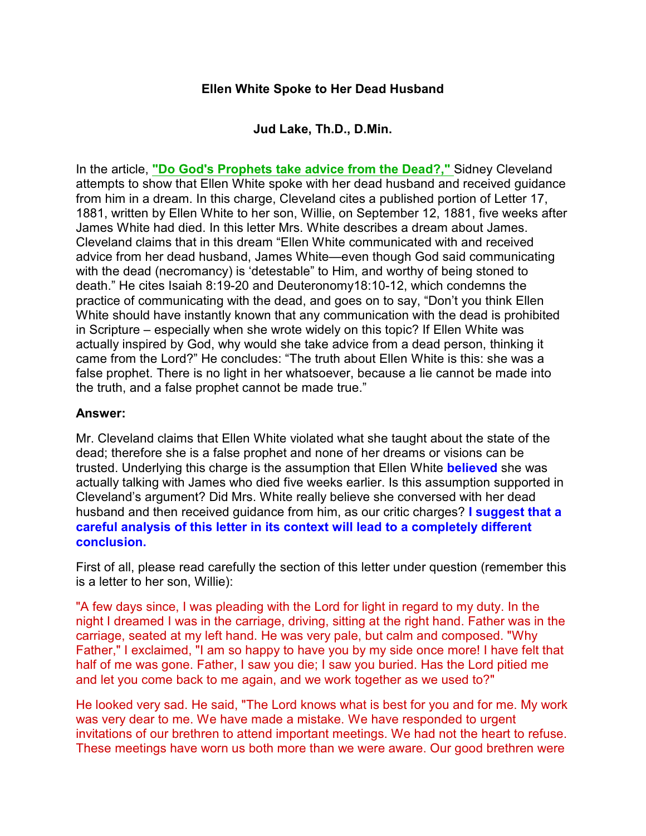## **Ellen White Spoke to Her Dead Husband**

**Jud Lake, Th.D., D.Min.**

In the article, **["Do God's Prophets take advice from the Dead?,"](http://www.ellenwhiteexposed.com/egw61.htm)** Sidney Cleveland attempts to show that Ellen White spoke with her dead husband and received guidance from him in a dream. In this charge, Cleveland cites a published portion of Letter 17, 1881, written by Ellen White to her son, Willie, on September 12, 1881, five weeks after James White had died. In this letter Mrs. White describes a dream about James. Cleveland claims that in this dream "Ellen White communicated with and received advice from her dead husband, James White—even though God said communicating with the dead (necromancy) is 'detestable" to Him, and worthy of being stoned to death." He cites Isaiah 8:19-20 and Deuteronomy18:10-12, which condemns the practice of communicating with the dead, and goes on to say, "Don't you think Ellen White should have instantly known that any communication with the dead is prohibited in Scripture – especially when she wrote widely on this topic? If Ellen White was actually inspired by God, why would she take advice from a dead person, thinking it came from the Lord?" He concludes: "The truth about Ellen White is this: she was a false prophet. There is no light in her whatsoever, because a lie cannot be made into the truth, and a false prophet cannot be made true."

## **Answer:**

Mr. Cleveland claims that Ellen White violated what she taught about the state of the dead; therefore she is a false prophet and none of her dreams or visions can be trusted. Underlying this charge is the assumption that Ellen White **believed** she was actually talking with James who died five weeks earlier. Is this assumption supported in Cleveland's argument? Did Mrs. White really believe she conversed with her dead husband and then received guidance from him, as our critic charges? **I suggest that a careful analysis of this letter in its context will lead to a completely different conclusion.**

First of all, please read carefully the section of this letter under question (remember this is a letter to her son, Willie):

"A few days since, I was pleading with the Lord for light in regard to my duty. In the night I dreamed I was in the carriage, driving, sitting at the right hand. Father was in the carriage, seated at my left hand. He was very pale, but calm and composed. "Why Father," I exclaimed, "I am so happy to have you by my side once more! I have felt that half of me was gone. Father, I saw you die; I saw you buried. Has the Lord pitied me and let you come back to me again, and we work together as we used to?"

He looked very sad. He said, "The Lord knows what is best for you and for me. My work was very dear to me. We have made a mistake. We have responded to urgent invitations of our brethren to attend important meetings. We had not the heart to refuse. These meetings have worn us both more than we were aware. Our good brethren were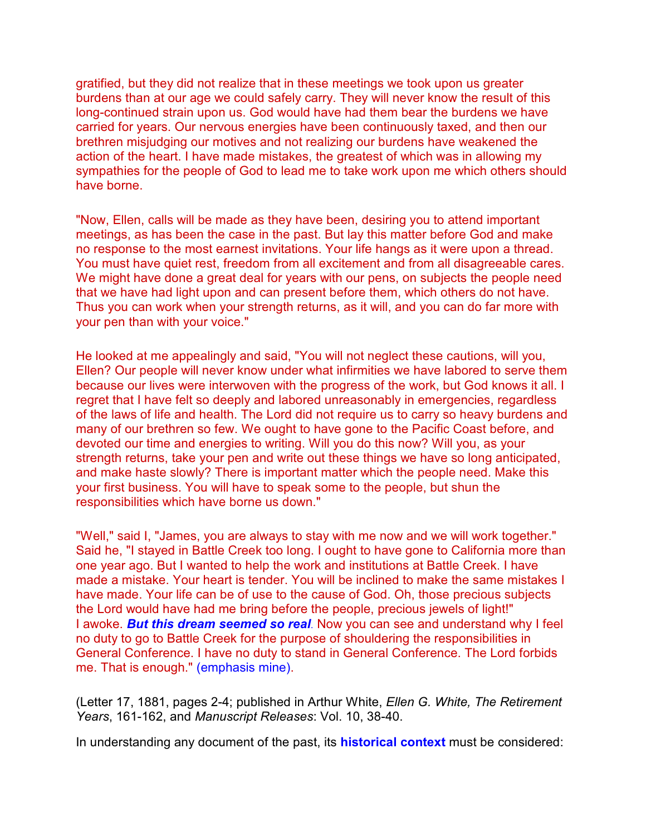gratified, but they did not realize that in these meetings we took upon us greater burdens than at our age we could safely carry. They will never know the result of this long-continued strain upon us. God would have had them bear the burdens we have carried for years. Our nervous energies have been continuously taxed, and then our brethren misjudging our motives and not realizing our burdens have weakened the action of the heart. I have made mistakes, the greatest of which was in allowing my sympathies for the people of God to lead me to take work upon me which others should have borne.

"Now, Ellen, calls will be made as they have been, desiring you to attend important meetings, as has been the case in the past. But lay this matter before God and make no response to the most earnest invitations. Your life hangs as it were upon a thread. You must have quiet rest, freedom from all excitement and from all disagreeable cares. We might have done a great deal for years with our pens, on subjects the people need that we have had light upon and can present before them, which others do not have. Thus you can work when your strength returns, as it will, and you can do far more with your pen than with your voice."

He looked at me appealingly and said, "You will not neglect these cautions, will you, Ellen? Our people will never know under what infirmities we have labored to serve them because our lives were interwoven with the progress of the work, but God knows it all. I regret that I have felt so deeply and labored unreasonably in emergencies, regardless of the laws of life and health. The Lord did not require us to carry so heavy burdens and many of our brethren so few. We ought to have gone to the Pacific Coast before, and devoted our time and energies to writing. Will you do this now? Will you, as your strength returns, take your pen and write out these things we have so long anticipated, and make haste slowly? There is important matter which the people need. Make this your first business. You will have to speak some to the people, but shun the responsibilities which have borne us down."

"Well," said I, "James, you are always to stay with me now and we will work together." Said he, "I stayed in Battle Creek too long. I ought to have gone to California more than one year ago. But I wanted to help the work and institutions at Battle Creek. I have made a mistake. Your heart is tender. You will be inclined to make the same mistakes I have made. Your life can be of use to the cause of God. Oh, those precious subjects the Lord would have had me bring before the people, precious jewels of light!" I awoke. *But this dream seemed so real*. Now you can see and understand why I feel no duty to go to Battle Creek for the purpose of shouldering the responsibilities in General Conference. I have no duty to stand in General Conference. The Lord forbids me. That is enough." (emphasis mine).

(Letter 17, 1881, pages 2-4; published in Arthur White, *Ellen G. White, The Retirement Years*, 161-162, and *Manuscript Releases*: Vol. 10, 38-40.

In understanding any document of the past, its **historical context** must be considered: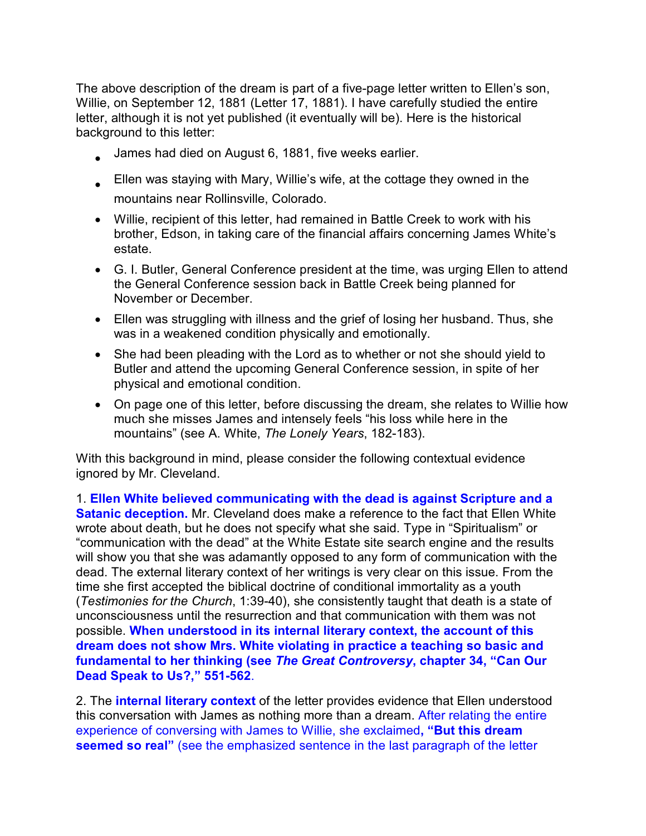The above description of the dream is part of a five-page letter written to Ellen's son, Willie, on September 12, 1881 (Letter 17, 1881). I have carefully studied the entire letter, although it is not yet published (it eventually will be). Here is the historical background to this letter:

James had died on August 6, 1881, five weeks earlier.

Ellen was staying with Mary, Willie's wife, at the cottage they owned in the mountains near Rollinsville, Colorado.

Willie, recipient of this letter, had remained in Battle Creek to work with his brother, Edson, in taking care of the financial affairs concerning James White's estate.

G. I. Butler, General Conference president at the time, was urging Ellen to attend the General Conference session back in Battle Creek being planned for November or December.

Ellen was struggling with illness and the grief of losing her husband. Thus, she was in a weakened condition physically and emotionally.

She had been pleading with the Lord as to whether or not she should yield to Butler and attend the upcoming General Conference session, in spite of her physical and emotional condition.

On page one of this letter, before discussing the dream, she relates to Willie how much she misses James and intensely feels "his loss while here in the mountains" (see A. White, *The Lonely Years*, 182-183).

With this background in mind, please consider the following contextual evidence ignored by Mr. Cleveland.

1. **Ellen White believed communicating with the dead is against Scripture and a Satanic deception.** Mr. Cleveland does make a reference to the fact that Ellen White wrote about death, but he does not specify what she said. Type in "Spiritualism" or "communication with the dead" at the White Estate site search engine and the results will show you that she was adamantly opposed to any form of communication with the dead. The external literary context of her writings is very clear on this issue. From the time she first accepted the biblical doctrine of conditional immortality as a youth (*Testimonies for the Church*, 1:39-40), she consistently taught that death is a state of unconsciousness until the resurrection and that communication with them was not possible. **When understood in its internal literary context, the account of this dream does not show Mrs. White violating in practice a teaching so basic and fundamental to her thinking (see** *The Great Controversy***, chapter 34, "Can Our Dead Speak to Us?," 551-562**.

2. The **internal literary context** of the letter provides evidence that Ellen understood this conversation with James as nothing more than a dream. After relating the entire experience of conversing with James to Willie, she exclaimed**, "But this dream seemed so real"** (see the emphasized sentence in the last paragraph of the letter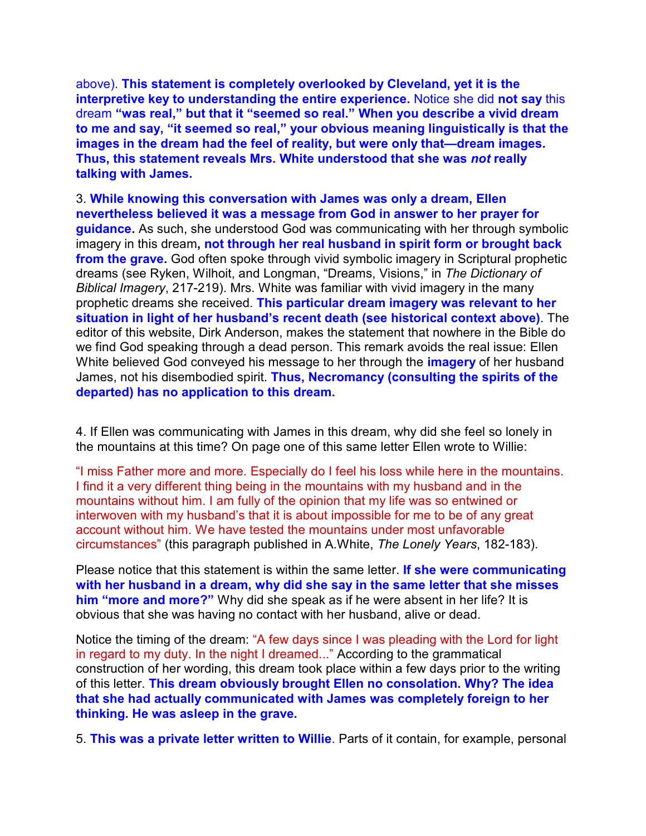above). **This statement is completely overlooked by Cleveland, yet it is the interpretive key to understanding the entire experience.** Notice she did **not say** this dream **"was real," but that it "seemed so real." When you describe a vivid dream to me and say, "it seemed so real," your obvious meaning linguistically is that the images in the dream had the feel of reality, but were only that—dream images. Thus, this statement reveals Mrs. White understood that she was** *not* **really talking with James.**

3. **While knowing this conversation with James was only a dream, Ellen nevertheless believed it was a message from God in answer to her prayer for guidance.** As such, she understood God was communicating with her through symbolic imagery in this dream**, not through her real husband in spirit form or brought back from the grave.** God often spoke through vivid symbolic imagery in Scriptural prophetic dreams (see Ryken, Wilhoit, and Longman, "Dreams, Visions," in *The Dictionary of Biblical Imagery*, 217-219). Mrs. White was familiar with vivid imagery in the many prophetic dreams she received. **This particular dream imagery was relevant to her situation in light of her husband's recent death (see historical context above)**. The editor of this website, Dirk Anderson, makes the statement that nowhere in the Bible do we find God speaking through a dead person. This remark avoids the real issue: Ellen White believed God conveyed his message to her through the **imagery** of her husband James, not his disembodied spirit. **Thus, Necromancy (consulting the spirits of the departed) has no application to this dream.**

4. If Ellen was communicating with James in this dream, why did she feel so lonely in the mountains at this time? On page one of this same letter Ellen wrote to Willie:

"I miss Father more and more. Especially do I feel his loss while here in the mountains. I find it a very different thing being in the mountains with my husband and in the mountains without him. I am fully of the opinion that my life was so entwined or interwoven with my husband's that it is about impossible for me to be of any great account without him. We have tested the mountains under most unfavorable circumstances" (this paragraph published in A.White, *The Lonely Years*, 182-183).

Please notice that this statement is within the same letter. **If she were communicating with her husband in a dream, why did she say in the same letter that she misses him "more and more?"** Why did she speak as if he were absent in her life? It is obvious that she was having no contact with her husband, alive or dead.

Notice the timing of the dream: "A few days since I was pleading with the Lord for light in regard to my duty. In the night I dreamed..." According to the grammatical construction of her wording, this dream took place within a few days prior to the writing of this letter. **This dream obviously brought Ellen no consolation. Why? The idea that she had actually communicated with James was completely foreign to her thinking. He was asleep in the grave.** 

5. **This was a private letter written to Willie**. Parts of it contain, for example, personal